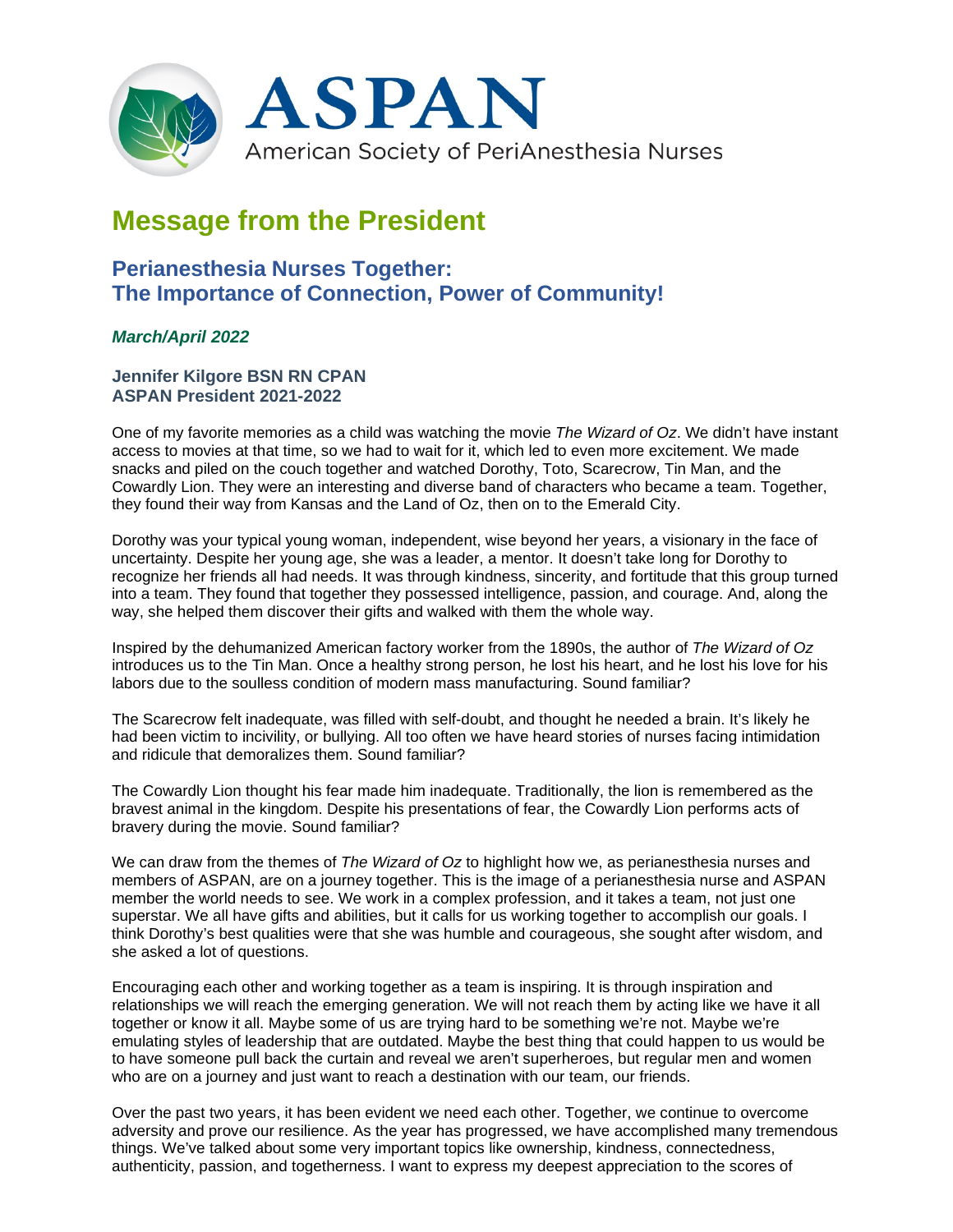

# **Message from the President**

## **Perianesthesia Nurses Together: The Importance of Connection, Power of Community!**

### *March/April 2022*

#### **Jennifer Kilgore BSN RN CPAN ASPAN President 2021-2022**

One of my favorite memories as a child was watching the movie *The Wizard of Oz*. We didn't have instant access to movies at that time, so we had to wait for it, which led to even more excitement. We made snacks and piled on the couch together and watched Dorothy, Toto, Scarecrow, Tin Man, and the Cowardly Lion. They were an interesting and diverse band of characters who became a team. Together, they found their way from Kansas and the Land of Oz, then on to the Emerald City.

Dorothy was your typical young woman, independent, wise beyond her years, a visionary in the face of uncertainty. Despite her young age, she was a leader, a mentor. It doesn't take long for Dorothy to recognize her friends all had needs. It was through kindness, sincerity, and fortitude that this group turned into a team. They found that together they possessed intelligence, passion, and courage. And, along the way, she helped them discover their gifts and walked with them the whole way.

Inspired by the dehumanized American factory worker from the 1890s, the author of *The Wizard of Oz* introduces us to the Tin Man. Once a healthy strong person, he lost his heart, and he lost his love for his labors due to the soulless condition of modern mass manufacturing. Sound familiar?

The Scarecrow felt inadequate, was filled with self-doubt, and thought he needed a brain. It's likely he had been victim to incivility, or bullying. All too often we have heard stories of nurses facing intimidation and ridicule that demoralizes them. Sound familiar?

The Cowardly Lion thought his fear made him inadequate. Traditionally, the lion is remembered as the bravest animal in the kingdom. Despite his presentations of fear, the Cowardly Lion performs acts of bravery during the movie. Sound familiar?

We can draw from the themes of *The Wizard of Oz* to highlight how we, as perianesthesia nurses and members of ASPAN, are on a journey together. This is the image of a perianesthesia nurse and ASPAN member the world needs to see. We work in a complex profession, and it takes a team, not just one superstar. We all have gifts and abilities, but it calls for us working together to accomplish our goals. I think Dorothy's best qualities were that she was humble and courageous, she sought after wisdom, and she asked a lot of questions.

Encouraging each other and working together as a team is inspiring. It is through inspiration and relationships we will reach the emerging generation. We will not reach them by acting like we have it all together or know it all. Maybe some of us are trying hard to be something we're not. Maybe we're emulating styles of leadership that are outdated. Maybe the best thing that could happen to us would be to have someone pull back the curtain and reveal we aren't superheroes, but regular men and women who are on a journey and just want to reach a destination with our team, our friends.

Over the past two years, it has been evident we need each other. Together, we continue to overcome adversity and prove our resilience. As the year has progressed, we have accomplished many tremendous things. We've talked about some very important topics like ownership, kindness, connectedness, authenticity, passion, and togetherness. I want to express my deepest appreciation to the scores of